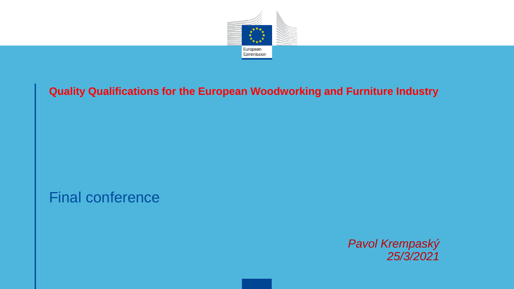

#### **Quality Qualifications for the European Woodworking and Furniture Industry**

Final conference

*Pavol Krempaský 25/3/2021*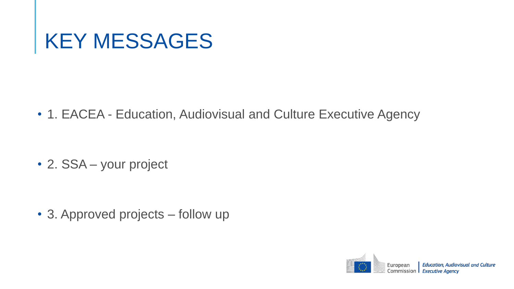#### KEY MESSAGES

• 1. EACEA - Education, Audiovisual and Culture Executive Agency

• 2. SSA – your project

• 3. Approved projects – follow up

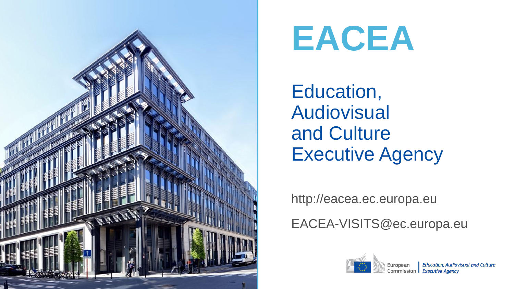

## **EACEA**

Education, Audiovisual and Culture Executive Agency

http://eacea.ec.europa.eu

EACEA-VISITS@ec.europa.eu

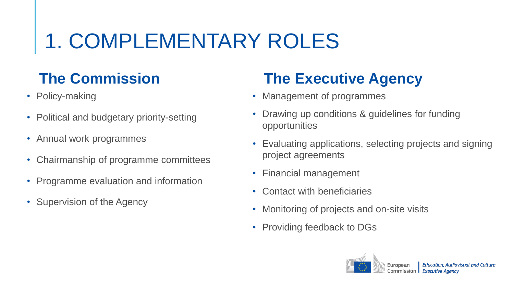## 1. COMPLEMENTARY ROLES

#### **The Commission**

- Policy-making
- Political and budgetary priority-setting
- Annual work programmes
- Chairmanship of programme committees
- Programme evaluation and information
- Supervision of the Agency

#### **The Executive Agency**

- Management of programmes
- Drawing up conditions & guidelines for funding opportunities
- Evaluating applications, selecting projects and signing project agreements
- Financial management
- Contact with beneficiaries
- Monitoring of projects and on-site visits
- Providing feedback to DGs

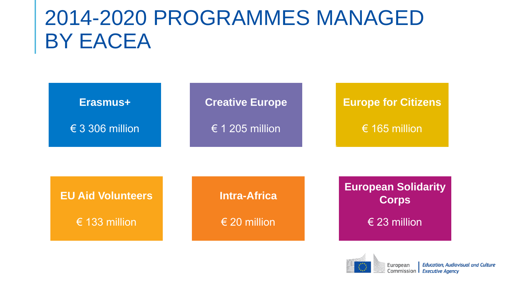#### 2014-2020 PROGRAMMES MANAGED BY EACEA

| Erasmus+<br>$\epsilon$ 3 306 million | <b>Creative Europe</b><br>$\epsilon$ 1 205 million | <b>Europe for Citizens</b><br>€ 165 million |
|--------------------------------------|----------------------------------------------------|---------------------------------------------|
| <b>EU Aid Volunteers</b>             | <b>Intra-Africa</b>                                | <b>European Solidarity</b><br><b>Corps</b>  |
| € 133 million                        | € 20 million                                       | $\epsilon$ 23 million                       |

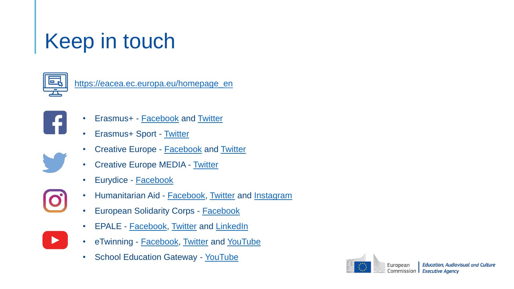### Keep in touch



[https://eacea.ec.europa.eu/homepage\\_en](https://eacea.ec.europa.eu/homepage_en)



 $\blacktriangleright$ 

- Erasmus+ **[Facebook](http://www.facebook.com/EUErasmusPlusProgramme/)** and [Twitter](https://twitter.com/EUErasmusPlus)
- Erasmus+ Sport [Twitter](https://twitter.com/eusport)
- **Creative Europe [Facebook](http://www.facebook.com/CreativeEuropeEU/) and [Twitter](https://twitter.com/europe_creative)**
- **Creative Europe MEDIA [Twitter](https://twitter.com/MEDIAprogEU)**
- Eurydice [Facebook](http://www.facebook.com/EurydiceEU/)
- Humanitarian Aid **[Facebook](http://www.facebook.com/ec.humanitarian.aid), [Twitter](https://twitter.com/eu_echo) and [Instagram](http://www.instagram.com/eu_echo/)**
- **European Solidarity Corps [Facebook](https://www.facebook.com/EuropeanYouthEU/)**
- **EPALE [Facebook,](http://www.facebook.com/EPALE.EU) [Twitter](https://twitter.com/EPALE_EU) and [LinkedIn](http://www.linkedin.com/company/eplatform-for-adult-learning-in-europe-epale-)**
- eTwinning **[Facebook,](http://www.facebook.com/ETwinningeurope/) [Twitter](https://twitter.com/eTwinningEurope) and [YouTube](http://www.youtube.com/channel/UCHzP7WBeHNrNlZ1U8zwvyrg)**
- School Education Gateway [YouTube](http://www.youtube.com/channel/UCSZyLDSh9nn3PZp-SVtQmgw)

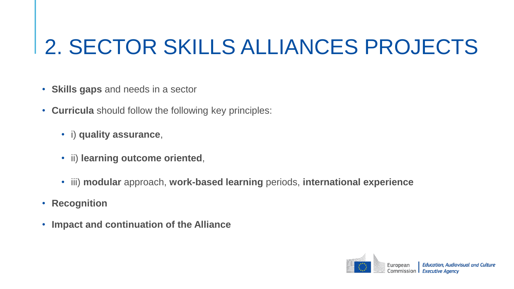### 2. SECTOR SKILLS ALLIANCES PROJECTS

- **Skills gaps** and needs in a sector
- **Curricula** should follow the following key principles:
	- i) **quality assurance**,
	- ii) **learning outcome oriented**,
	- iii) **modular** approach, **work-based learning** periods, **international experience**
- **Recognition**
- **Impact and continuation of the Alliance**

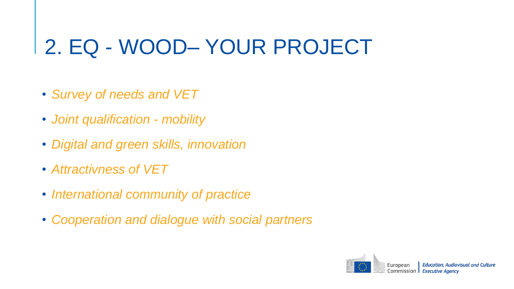#### 2. EQ - WOOD– YOUR PROJECT

- *Survey of needs and VET*
- *Joint qualification - mobility*
- *Digital and green skills, innovation*
- *Attractivness of VET*
- *International community of practice*
- *Cooperation and dialogue with social partners*

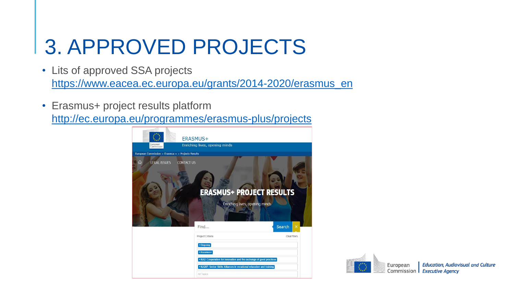### 3. APPROVED PROJECTS

- Lits of approved SSA projects [https://www.eacea.ec.europa.eu/grants/2014-2020/erasmus\\_en](https://www.eacea.ec.europa.eu/grants/2014-2020/erasmus_en)
- Erasmus+ project results platform <http://ec.europa.eu/programmes/erasmus-plus/projects>



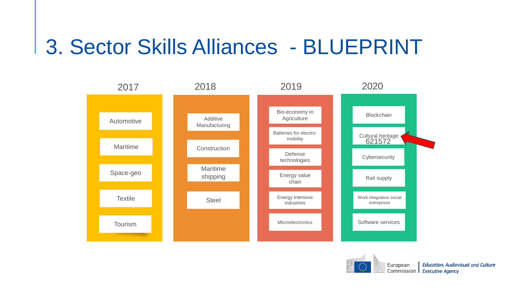#### 3. Sector Skills Alliances - BLUEPRINT



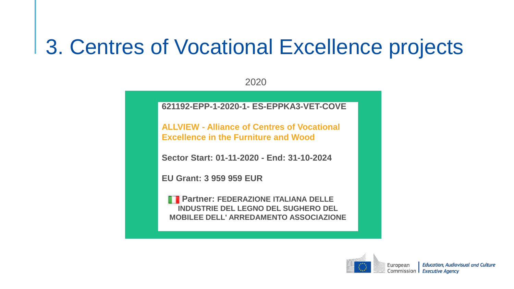#### 3. Centres of Vocational Excellence projects

2020

**621192-EPP-1-2020-1- ES-EPPKA3-VET-COVE** 

**ALLVIEW - Alliance of Centres of Vocational Excellence in the Furniture and Wood** 

**Sector Start: 01-11-2020 - End: 31-10-2024** 

**EU Grant: 3 959 959 EUR**

**Partner: FEDERAZIONE ITALIANA DELLE INDUSTRIE DEL LEGNO DEL SUGHERO DEL MOBILEE DELL' ARREDAMENTO ASSOCIAZIONE**